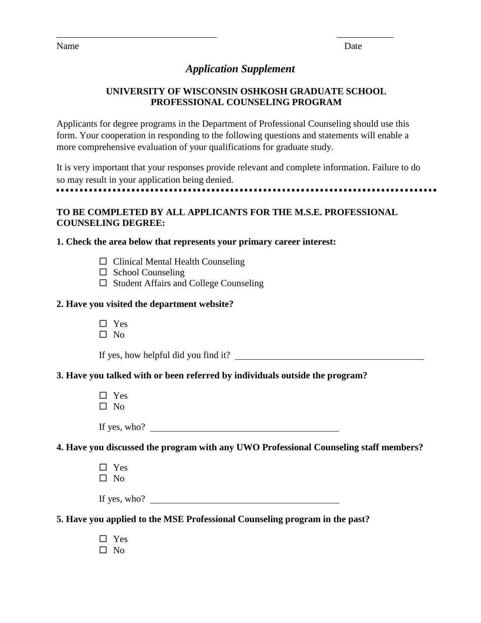Name Date

# *Application Supplement*

\_\_\_\_\_\_\_\_\_\_\_\_\_\_\_\_\_\_\_\_\_\_\_\_\_\_\_\_\_\_\_\_\_\_ \_\_\_\_\_\_\_\_\_\_\_\_

# **UNIVERSITY OF WISCONSIN OSHKOSH GRADUATE SCHOOL PROFESSIONAL COUNSELING PROGRAM**

Applicants for degree programs in the Department of Professional Counseling should use this form. Your cooperation in responding to the following questions and statements will enable a more comprehensive evaluation of your qualifications for graduate study.

It is very important that your responses provide relevant and complete information. Failure to do so may result in your application being denied. 

# **TO BE COMPLETED BY ALL APPLICANTS FOR THE M.S.E. PROFESSIONAL COUNSELING DEGREE:**

# **1. Check the area below that represents your primary career interest:**

- $\Box$  Clinical Mental Health Counseling
- $\Box$  School Counseling
- $\square$  Student Affairs and College Counseling

#### **2. Have you visited the department website?**

- □ Yes
- $\Box$  No

If yes, how helpful did you find it?

# **3. Have you talked with or been referred by individuals outside the program?**

□ Yes  $\square$  No

If yes, who?

**4. Have you discussed the program with any UWO Professional Counseling staff members?**

□ Yes  $\Box$  No

| If yes, who? |  |
|--------------|--|
|--------------|--|

# **5. Have you applied to the MSE Professional Counseling program in the past?**

□ Yes  $\square$  No